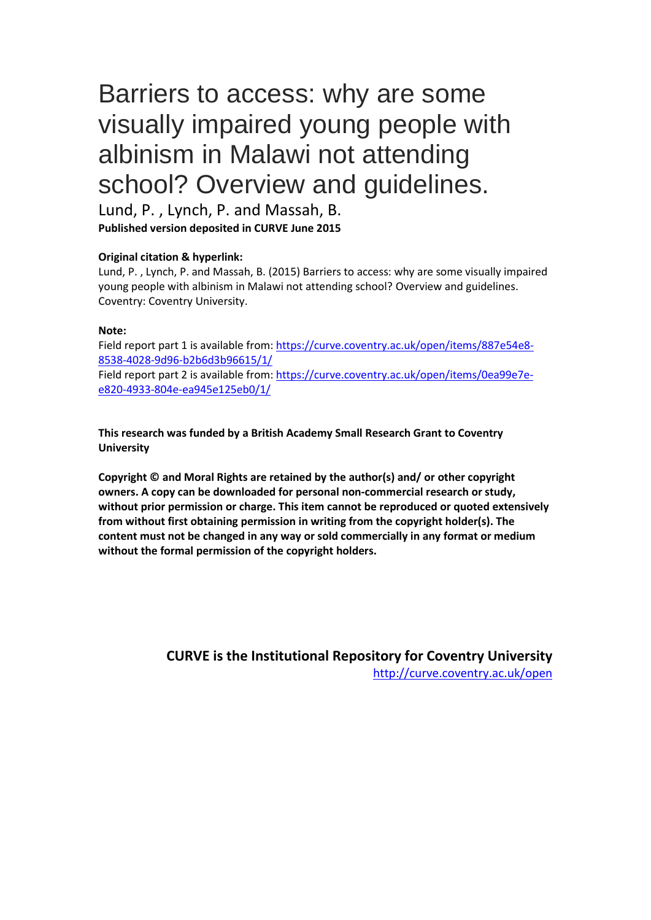# Barriers to access: why are some visually impaired young people with albinism in Malawi not attending school? Overview and guidelines.

Lund, P. , Lynch, P. and Massah, B. **Published version deposited in CURVE June 2015**

#### **Original citation & hyperlink:**

Lund, P. , Lynch, P. and Massah, B. (2015) Barriers to access: why are some visually impaired young people with albinism in Malawi not attending school? Overview and guidelines. Coventry: Coventry University.

#### **Note:**

[Field report part 1 is available from:](https://curve.coventry.ac.uk/open/items/887e54e8-8538-4028-9d96-b2b6d3b96615/1/) https://curve.coventry.ac.uk/open/items/887e54e8- 8538-4028-9d96-b2b6d3b96615/1/ Field [report part 2 is available from: https://curve.coventry.ac.uk/open/items/0ea99e7e](https://curve.coventry.ac.uk/open/items/0ea99e7e-e820-4933-804e-ea945e125eb0/1/)[e820-4933-804e-ea9](https://curve.coventry.ac.uk/open/items/0ea99e7e-e820-4933-804e-ea945e125eb0/1/)45e125eb0/1/

**This research was funded by a British Academy Small Research Grant to Coventry University**

**Copyright © and Moral Rights are retained by the author(s) and/ or other copyright owners. A copy can be downloaded for personal non-commercial research or study, without prior permission or charge. This item cannot be reproduced or quoted extensively from without first obtaining permission in writing from the copyright holder(s). The content must not be changed in any way or sold commercially in any format or medium without the formal permission of the copyright holders.** 

> **CURVE is the Institutional Repository for Coventry University** <http://curve.coventry.ac.uk/open>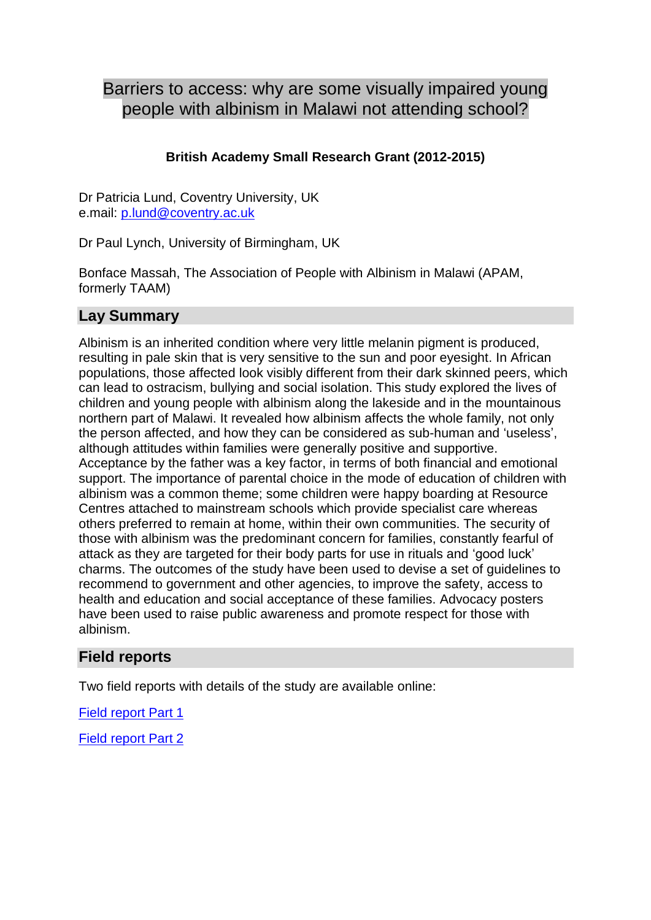## Barriers to access: why are some visually impaired young people with albinism in Malawi not attending school?

### **British Academy Small Research Grant (2012-2015)**

Dr Patricia Lund, Coventry University, UK e.mail: [p.lund@coventry.ac.uk](mailto:p.lund@coventry.ac.uk)

Dr Paul Lynch, University of Birmingham, UK

Bonface Massah, The Association of People with Albinism in Malawi (APAM, formerly TAAM)

## **Lay Summary**

Albinism is an inherited condition where very little melanin pigment is produced, resulting in pale skin that is very sensitive to the sun and poor eyesight. In African populations, those affected look visibly different from their dark skinned peers, which can lead to ostracism, bullying and social isolation. This study explored the lives of children and young people with albinism along the lakeside and in the mountainous northern part of Malawi. It revealed how albinism affects the whole family, not only the person affected, and how they can be considered as sub-human and 'useless', although attitudes within families were generally positive and supportive. Acceptance by the father was a key factor, in terms of both financial and emotional support. The importance of parental choice in the mode of education of children with albinism was a common theme; some children were happy boarding at Resource Centres attached to mainstream schools which provide specialist care whereas others preferred to remain at home, within their own communities. The security of those with albinism was the predominant concern for families, constantly fearful of attack as they are targeted for their body parts for use in rituals and 'good luck' charms. The outcomes of the study have been used to devise a set of guidelines to recommend to government and other agencies, to improve the safety, access to health and education and social acceptance of these families. Advocacy posters have been used to raise public awareness and promote respect for those with albinism.

## **Field reports**

Two field reports with details of the study are available online:

[Field report Part 1](https://curve.coventry.ac.uk/open/items/887e54e8-8538-4028-9d96-b2b6d3b96615/1/)

[Field report Part 2](http://curve.coventry.ac.uk/open/items/0ea99e7e-e820-4933-804e-ea945e125eb0/1/)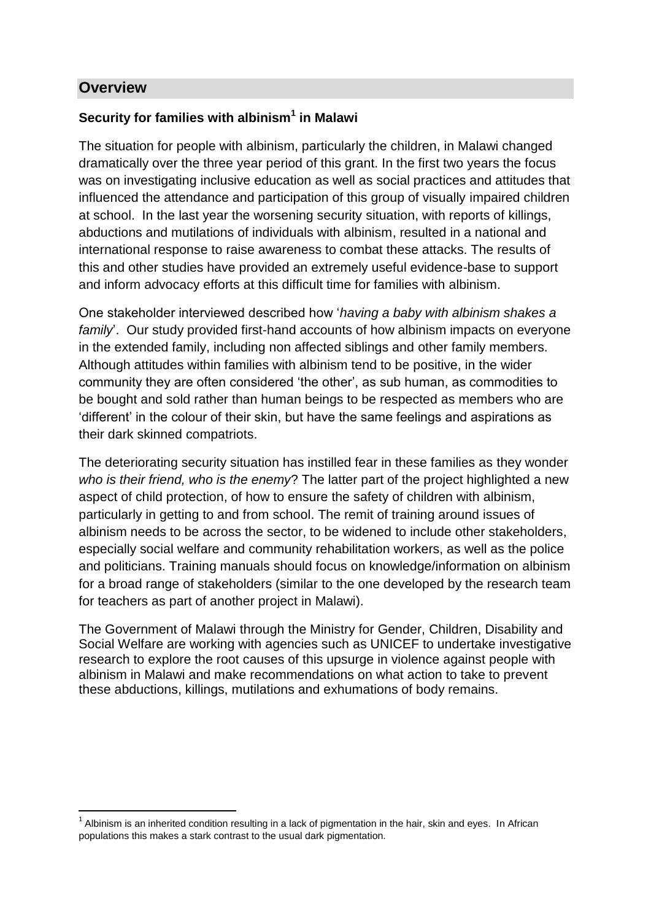### **Overview**

1

#### **Security for families with albinism<sup>1</sup> in Malawi**

The situation for people with albinism, particularly the children, in Malawi changed dramatically over the three year period of this grant. In the first two years the focus was on investigating inclusive education as well as social practices and attitudes that influenced the attendance and participation of this group of visually impaired children at school. In the last year the worsening security situation, with reports of killings, abductions and mutilations of individuals with albinism, resulted in a national and international response to raise awareness to combat these attacks. The results of this and other studies have provided an extremely useful evidence-base to support and inform advocacy efforts at this difficult time for families with albinism.

One stakeholder interviewed described how '*having a baby with albinism shakes a family*'. Our study provided first-hand accounts of how albinism impacts on everyone in the extended family, including non affected siblings and other family members. Although attitudes within families with albinism tend to be positive, in the wider community they are often considered 'the other', as sub human, as commodities to be bought and sold rather than human beings to be respected as members who are 'different' in the colour of their skin, but have the same feelings and aspirations as their dark skinned compatriots.

The deteriorating security situation has instilled fear in these families as they wonder *who is their friend, who is the enemy*? The latter part of the project highlighted a new aspect of child protection, of how to ensure the safety of children with albinism, particularly in getting to and from school. The remit of training around issues of albinism needs to be across the sector, to be widened to include other stakeholders, especially social welfare and community rehabilitation workers, as well as the police and politicians. Training manuals should focus on knowledge/information on albinism for a broad range of stakeholders (similar to the one developed by the research team for teachers as part of another project in Malawi).

The Government of Malawi through the Ministry for Gender, Children, Disability and Social Welfare are working with agencies such as UNICEF to undertake investigative research to explore the root causes of this upsurge in violence against people with albinism in Malawi and make recommendations on what action to take to prevent these abductions, killings, mutilations and exhumations of body remains.

 $1$  Albinism is an inherited condition resulting in a lack of pigmentation in the hair, skin and eyes. In African populations this makes a stark contrast to the usual dark pigmentation.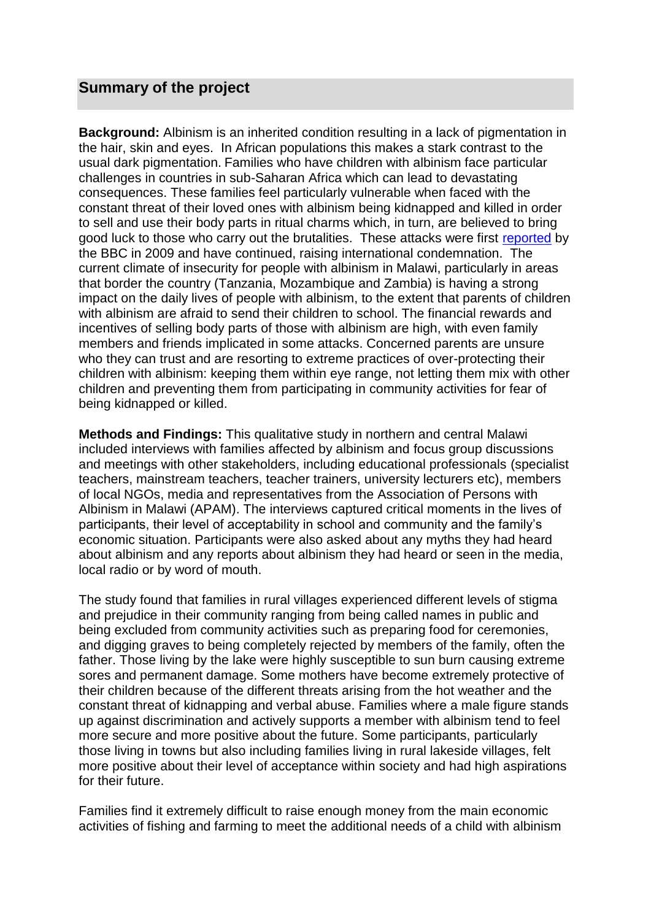## **Summary of the project**

**Background:** Albinism is an inherited condition resulting in a lack of pigmentation in the hair, skin and eyes. In African populations this makes a stark contrast to the usual dark pigmentation. Families who have children with albinism face particular challenges in countries in sub-Saharan Africa which can lead to devastating consequences. These families feel particularly vulnerable when faced with the constant threat of their loved ones with albinism being kidnapped and killed in order to sell and use their body parts in ritual charms which, in turn, are believed to bring good luck to those who carry out the brutalities. These attacks were first [reported](http://news.bbc.co.uk/1/hi/world/africa/7518049.stm) by the BBC in 2009 and have continued, raising international condemnation. The current climate of insecurity for people with albinism in Malawi, particularly in areas that border the country (Tanzania, Mozambique and Zambia) is having a strong impact on the daily lives of people with albinism, to the extent that parents of children with albinism are afraid to send their children to school. The financial rewards and incentives of selling body parts of those with albinism are high, with even family members and friends implicated in some attacks. Concerned parents are unsure who they can trust and are resorting to extreme practices of over-protecting their children with albinism: keeping them within eye range, not letting them mix with other children and preventing them from participating in community activities for fear of being kidnapped or killed.

**Methods and Findings:** This qualitative study in northern and central Malawi included interviews with families affected by albinism and focus group discussions and meetings with other stakeholders, including educational professionals (specialist teachers, mainstream teachers, teacher trainers, university lecturers etc), members of local NGOs, media and representatives from the Association of Persons with Albinism in Malawi (APAM). The interviews captured critical moments in the lives of participants, their level of acceptability in school and community and the family's economic situation. Participants were also asked about any myths they had heard about albinism and any reports about albinism they had heard or seen in the media, local radio or by word of mouth.

The study found that families in rural villages experienced different levels of stigma and prejudice in their community ranging from being called names in public and being excluded from community activities such as preparing food for ceremonies, and digging graves to being completely rejected by members of the family, often the father. Those living by the lake were highly susceptible to sun burn causing extreme sores and permanent damage. Some mothers have become extremely protective of their children because of the different threats arising from the hot weather and the constant threat of kidnapping and verbal abuse. Families where a male figure stands up against discrimination and actively supports a member with albinism tend to feel more secure and more positive about the future. Some participants, particularly those living in towns but also including families living in rural lakeside villages, felt more positive about their level of acceptance within society and had high aspirations for their future.

Families find it extremely difficult to raise enough money from the main economic activities of fishing and farming to meet the additional needs of a child with albinism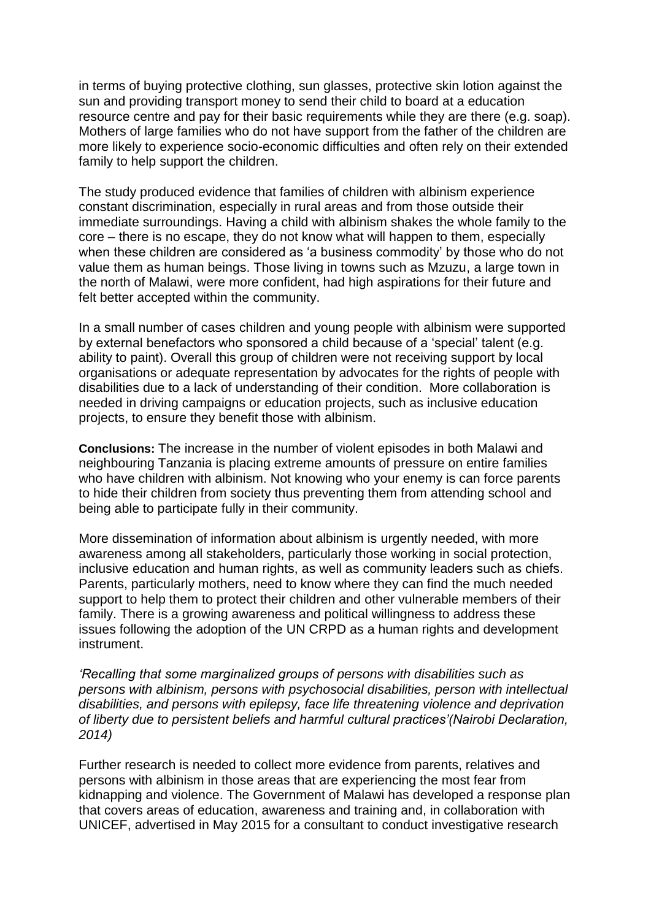in terms of buying protective clothing, sun glasses, protective skin lotion against the sun and providing transport money to send their child to board at a education resource centre and pay for their basic requirements while they are there (e.g. soap). Mothers of large families who do not have support from the father of the children are more likely to experience socio-economic difficulties and often rely on their extended family to help support the children.

The study produced evidence that families of children with albinism experience constant discrimination, especially in rural areas and from those outside their immediate surroundings. Having a child with albinism shakes the whole family to the core – there is no escape, they do not know what will happen to them, especially when these children are considered as 'a business commodity' by those who do not value them as human beings. Those living in towns such as Mzuzu, a large town in the north of Malawi, were more confident, had high aspirations for their future and felt better accepted within the community.

In a small number of cases children and young people with albinism were supported by external benefactors who sponsored a child because of a 'special' talent (e.g. ability to paint). Overall this group of children were not receiving support by local organisations or adequate representation by advocates for the rights of people with disabilities due to a lack of understanding of their condition. More collaboration is needed in driving campaigns or education projects, such as inclusive education projects, to ensure they benefit those with albinism.

**Conclusions:** The increase in the number of violent episodes in both Malawi and neighbouring Tanzania is placing extreme amounts of pressure on entire families who have children with albinism. Not knowing who your enemy is can force parents to hide their children from society thus preventing them from attending school and being able to participate fully in their community.

More dissemination of information about albinism is urgently needed, with more awareness among all stakeholders, particularly those working in social protection, inclusive education and human rights, as well as community leaders such as chiefs. Parents, particularly mothers, need to know where they can find the much needed support to help them to protect their children and other vulnerable members of their family. There is a growing awareness and political willingness to address these issues following the adoption of the UN CRPD as a human rights and development instrument.

*'Recalling that some marginalized groups of persons with disabilities such as persons with albinism, persons with psychosocial disabilities, person with intellectual disabilities, and persons with epilepsy, face life threatening violence and deprivation of liberty due to persistent beliefs and harmful cultural practices'(Nairobi Declaration, 2014)*

Further research is needed to collect more evidence from parents, relatives and persons with albinism in those areas that are experiencing the most fear from kidnapping and violence. The Government of Malawi has developed a response plan that covers areas of education, awareness and training and, in collaboration with UNICEF, advertised in May 2015 for a consultant to conduct investigative research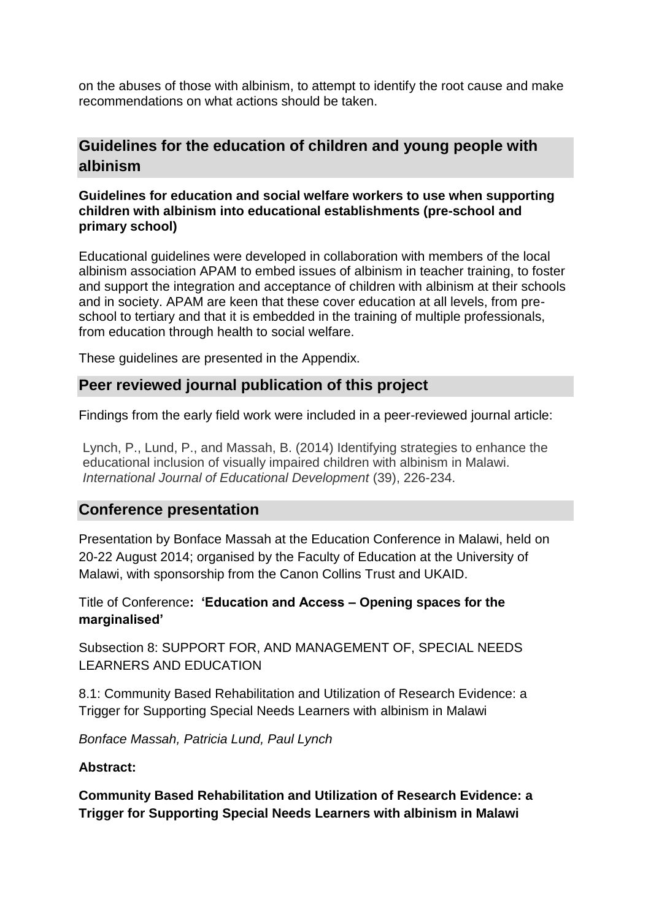on the abuses of those with albinism, to attempt to identify the root cause and make recommendations on what actions should be taken.

## **Guidelines for the education of children and young people with albinism**

#### **Guidelines for education and social welfare workers to use when supporting children with albinism into educational establishments (pre-school and primary school)**

Educational guidelines were developed in collaboration with members of the local albinism association APAM to embed issues of albinism in teacher training, to foster and support the integration and acceptance of children with albinism at their schools and in society. APAM are keen that these cover education at all levels, from preschool to tertiary and that it is embedded in the training of multiple professionals, from education through health to social welfare.

These guidelines are presented in the Appendix.

#### **Peer reviewed journal publication of this project**

Findings from the early field work were included in a peer-reviewed journal article:

Lynch, P., Lund, P., and Massah, B. (2014) Identifying strategies to enhance the educational inclusion of visually impaired children with albinism in Malawi. *International Journal of Educational Development* (39), 226-234.

#### **Conference presentation**

Presentation by Bonface Massah at the Education Conference in Malawi, held on 20-22 August 2014; organised by the Faculty of Education at the University of Malawi, with sponsorship from the Canon Collins Trust and UKAID.

Title of Conference**: 'Education and Access – Opening spaces for the marginalised'**

Subsection 8: SUPPORT FOR, AND MANAGEMENT OF, SPECIAL NEEDS LEARNERS AND EDUCATION

8.1: Community Based Rehabilitation and Utilization of Research Evidence: a Trigger for Supporting Special Needs Learners with albinism in Malawi

*Bonface Massah, Patricia Lund, Paul Lynch* 

#### **Abstract:**

**Community Based Rehabilitation and Utilization of Research Evidence: a Trigger for Supporting Special Needs Learners with albinism in Malawi**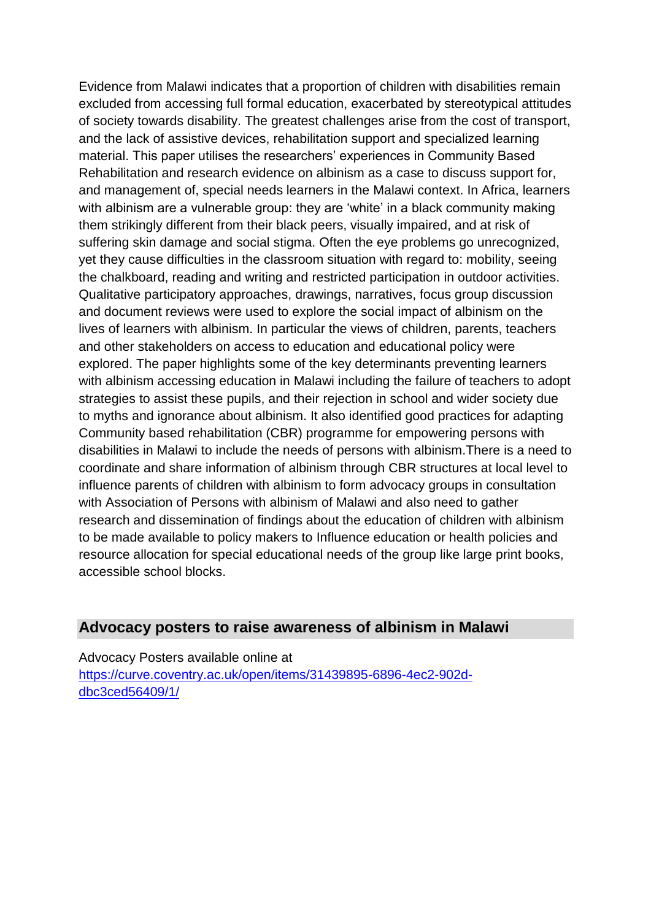Evidence from Malawi indicates that a proportion of children with disabilities remain excluded from accessing full formal education, exacerbated by stereotypical attitudes of society towards disability. The greatest challenges arise from the cost of transport, and the lack of assistive devices, rehabilitation support and specialized learning material. This paper utilises the researchers' experiences in Community Based Rehabilitation and research evidence on albinism as a case to discuss support for, and management of, special needs learners in the Malawi context. In Africa, learners with albinism are a vulnerable group: they are 'white' in a black community making them strikingly different from their black peers, visually impaired, and at risk of suffering skin damage and social stigma. Often the eye problems go unrecognized, yet they cause difficulties in the classroom situation with regard to: mobility, seeing the chalkboard, reading and writing and restricted participation in outdoor activities. Qualitative participatory approaches, drawings, narratives, focus group discussion and document reviews were used to explore the social impact of albinism on the lives of learners with albinism. In particular the views of children, parents, teachers and other stakeholders on access to education and educational policy were explored. The paper highlights some of the key determinants preventing learners with albinism accessing education in Malawi including the failure of teachers to adopt strategies to assist these pupils, and their rejection in school and wider society due to myths and ignorance about albinism. It also identified good practices for adapting Community based rehabilitation (CBR) programme for empowering persons with disabilities in Malawi to include the needs of persons with albinism.There is a need to coordinate and share information of albinism through CBR structures at local level to influence parents of children with albinism to form advocacy groups in consultation with Association of Persons with albinism of Malawi and also need to gather research and dissemination of findings about the education of children with albinism to be made available to policy makers to Influence education or health policies and resource allocation for special educational needs of the group like large print books, accessible school blocks.

#### **Advocacy posters to raise awareness of albinism in Malawi**

Advocacy Posters available online at [https://curve.coventry.ac.uk/open/items/31439895-6896-4ec2-902d](https://curve.coventry.ac.uk/open/items/31439895-6896-4ec2-902d-dbc3ced56409/1/)[dbc3ced56409/1/](https://curve.coventry.ac.uk/open/items/31439895-6896-4ec2-902d-dbc3ced56409/1/)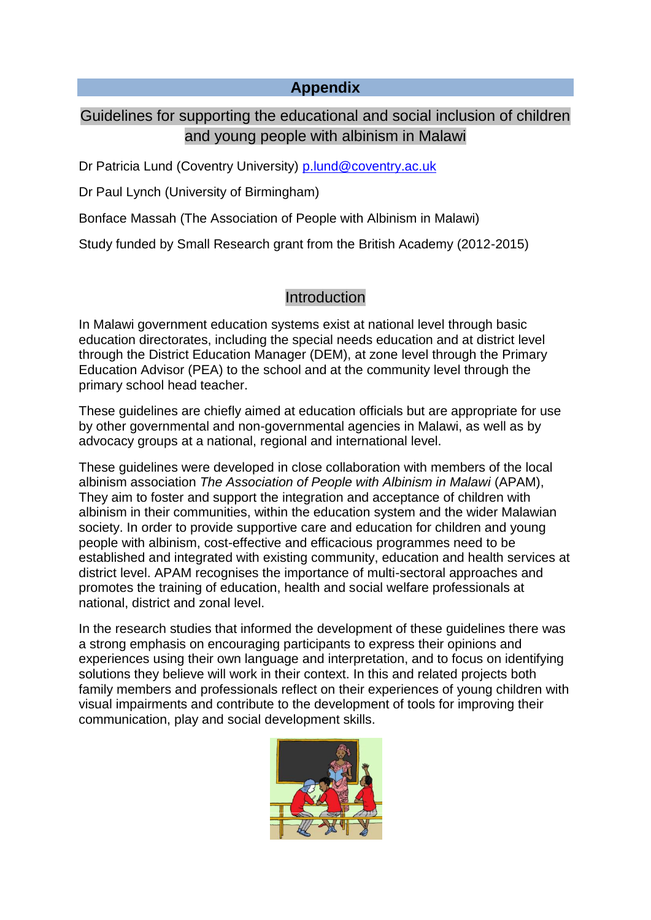#### **Appendix**

## Guidelines for supporting the educational and social inclusion of children and young people with albinism in Malawi

Dr Patricia Lund (Coventry University) [p.lund@coventry.ac.uk](mailto:p.lund@coventry.ac.uk)

Dr Paul Lynch (University of Birmingham)

Bonface Massah (The Association of People with Albinism in Malawi)

Study funded by Small Research grant from the British Academy (2012-2015)

#### Introduction

In Malawi government education systems exist at national level through basic education directorates, including the special needs education and at district level through the District Education Manager (DEM), at zone level through the Primary Education Advisor (PEA) to the school and at the community level through the primary school head teacher.

These guidelines are chiefly aimed at education officials but are appropriate for use by other governmental and non-governmental agencies in Malawi, as well as by advocacy groups at a national, regional and international level.

These guidelines were developed in close collaboration with members of the local albinism association *The Association of People with Albinism in Malawi* (APAM), They aim to foster and support the integration and acceptance of children with albinism in their communities, within the education system and the wider Malawian society. In order to provide supportive care and education for children and young people with albinism, cost-effective and efficacious programmes need to be established and integrated with existing community, education and health services at district level. APAM recognises the importance of multi-sectoral approaches and promotes the training of education, health and social welfare professionals at national, district and zonal level.

In the research studies that informed the development of these guidelines there was a strong emphasis on encouraging participants to express their opinions and experiences using their own language and interpretation, and to focus on identifying solutions they believe will work in their context. In this and related projects both family members and professionals reflect on their experiences of young children with visual impairments and contribute to the development of tools for improving their communication, play and social development skills.

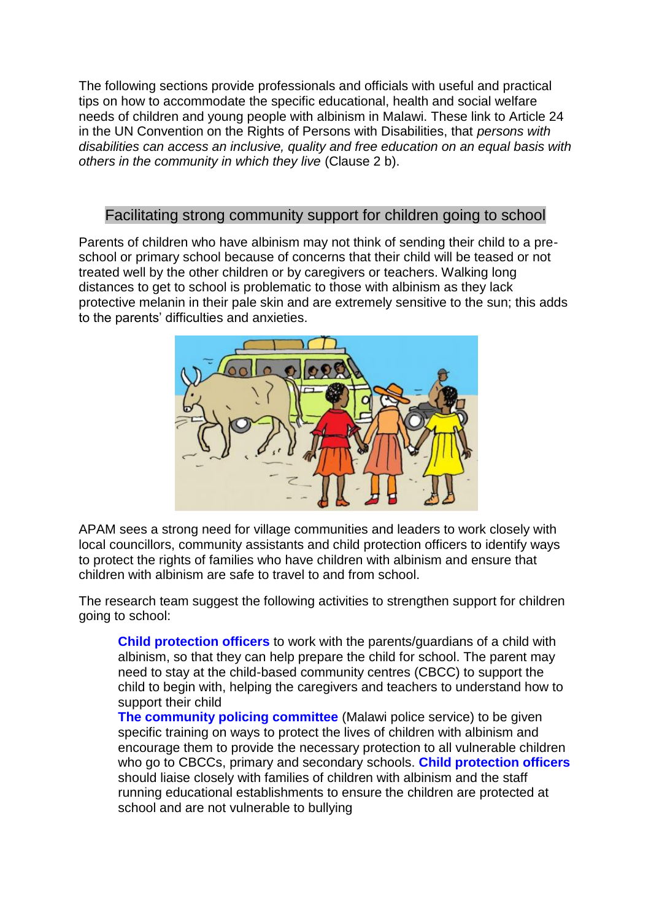The following sections provide professionals and officials with useful and practical tips on how to accommodate the specific educational, health and social welfare needs of children and young people with albinism in Malawi. These link to Article 24 in the UN Convention on the Rights of Persons with Disabilities, that *persons with disabilities can access an inclusive, quality and free education on an equal basis with others in the community in which they live* (Clause 2 b).

## Facilitating strong community support for children going to school

Parents of children who have albinism may not think of sending their child to a preschool or primary school because of concerns that their child will be teased or not treated well by the other children or by caregivers or teachers. Walking long distances to get to school is problematic to those with albinism as they lack protective melanin in their pale skin and are extremely sensitive to the sun; this adds to the parents' difficulties and anxieties.



APAM sees a strong need for village communities and leaders to work closely with local councillors, community assistants and child protection officers to identify ways to protect the rights of families who have children with albinism and ensure that children with albinism are safe to travel to and from school.

The research team suggest the following activities to strengthen support for children going to school:

**Child protection officers** to work with the parents/guardians of a child with albinism, so that they can help prepare the child for school. The parent may need to stay at the child-based community centres (CBCC) to support the child to begin with, helping the caregivers and teachers to understand how to support their child

**The community policing committee** (Malawi police service) to be given specific training on ways to protect the lives of children with albinism and encourage them to provide the necessary protection to all vulnerable children who go to CBCCs, primary and secondary schools. **Child protection officers** should liaise closely with families of children with albinism and the staff running educational establishments to ensure the children are protected at school and are not vulnerable to bullying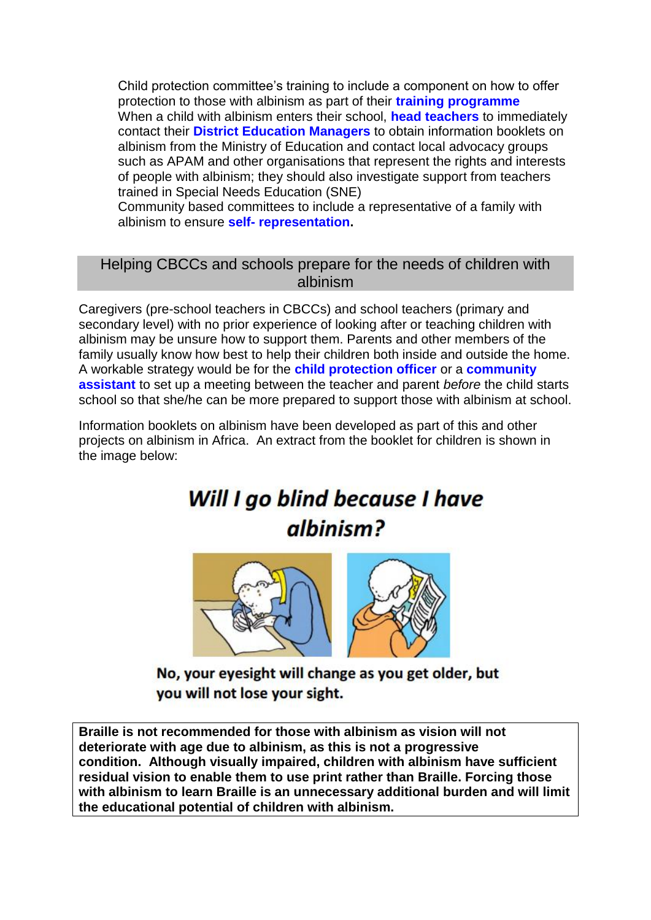Child protection committee's training to include a component on how to offer protection to those with albinism as part of their **training programme** When a child with albinism enters their school, **head teachers** to immediately contact their **District Education Managers** to obtain information booklets on albinism from the Ministry of Education and contact local advocacy groups such as APAM and other organisations that represent the rights and interests of people with albinism; they should also investigate support from teachers trained in Special Needs Education (SNE)

Community based committees to include a representative of a family with albinism to ensure **self- representation.**

## Helping CBCCs and schools prepare for the needs of children with albinism

Caregivers (pre-school teachers in CBCCs) and school teachers (primary and secondary level) with no prior experience of looking after or teaching children with albinism may be unsure how to support them. Parents and other members of the family usually know how best to help their children both inside and outside the home. A workable strategy would be for the **child protection officer** or a **community assistant** to set up a meeting between the teacher and parent *before* the child starts school so that she/he can be more prepared to support those with albinism at school.

Information booklets on albinism have been developed as part of this and other projects on albinism in Africa. An extract from the booklet for children is shown in the image below:

# Will I go blind because I have albinism?



No, your eyesight will change as you get older, but vou will not lose your sight.

**Braille is not recommended for those with albinism as vision will not deteriorate with age due to albinism, as this is not a progressive condition. Although visually impaired, children with albinism have sufficient residual vision to enable them to use print rather than Braille. Forcing those with albinism to learn Braille is an unnecessary additional burden and will limit the educational potential of children with albinism.**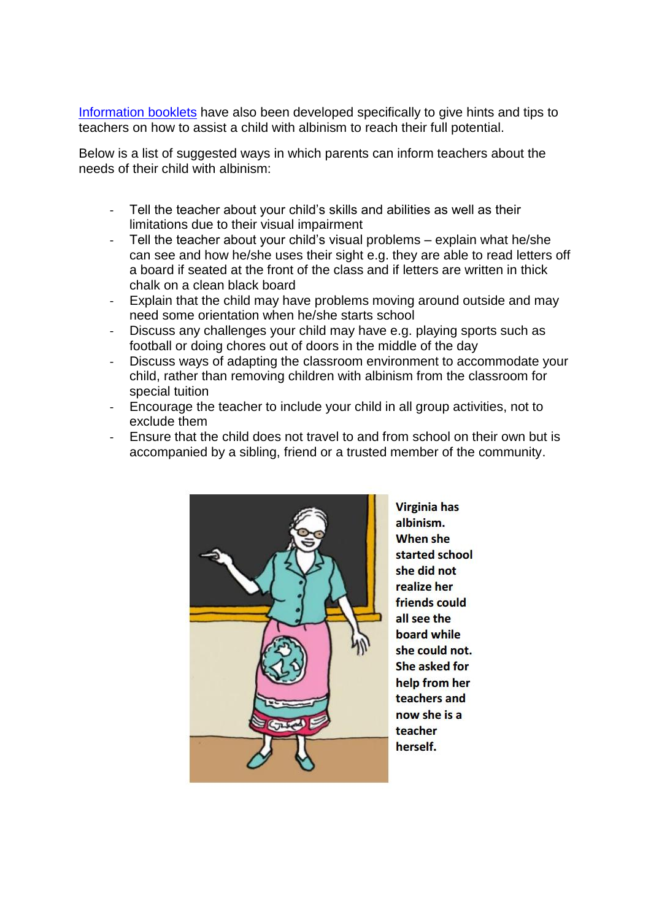[Information booklets](https://curve.coventry.ac.uk/open/file/5c501215-c908-ead9-1212-e9367731fd10/1/Albinism%20information%20for%20teachers%20and%20parents.pdf) have also been developed specifically to give hints and tips to teachers on how to assist a child with albinism to reach their full potential.

Below is a list of suggested ways in which parents can inform teachers about the needs of their child with albinism:

- Tell the teacher about your child's skills and abilities as well as their limitations due to their visual impairment
- Tell the teacher about your child's visual problems explain what he/she can see and how he/she uses their sight e.g. they are able to read letters off a board if seated at the front of the class and if letters are written in thick chalk on a clean black board
- Explain that the child may have problems moving around outside and may need some orientation when he/she starts school
- Discuss any challenges your child may have e.g. playing sports such as football or doing chores out of doors in the middle of the day
- Discuss ways of adapting the classroom environment to accommodate your child, rather than removing children with albinism from the classroom for special tuition
- Encourage the teacher to include your child in all group activities, not to exclude them
- Ensure that the child does not travel to and from school on their own but is accompanied by a sibling, friend or a trusted member of the community.



**Virginia has** albinism. **When she** started school she did not realize her friends could all see the board while she could not. She asked for help from her teachers and now she is a teacher herself.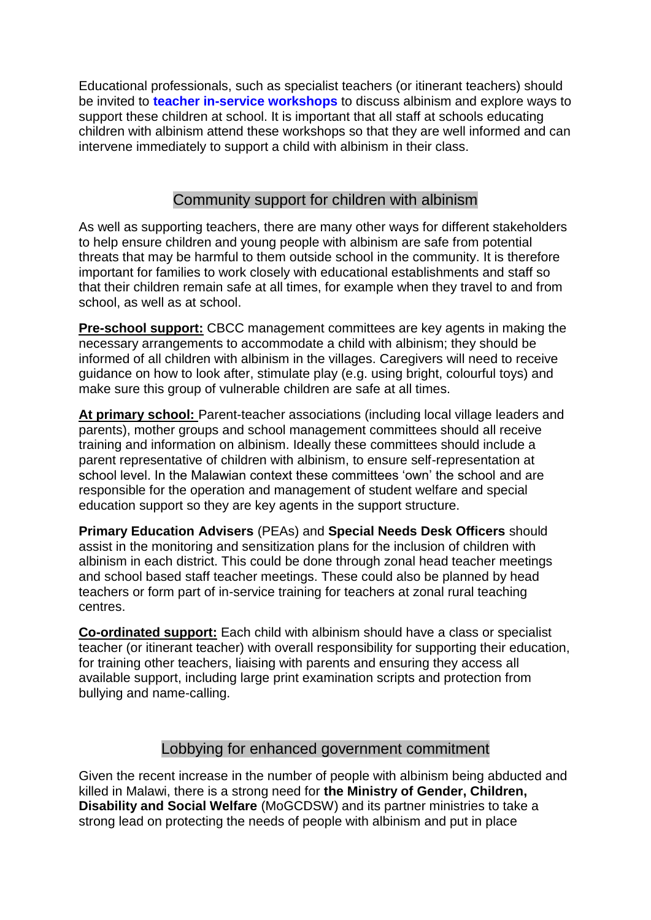Educational professionals, such as specialist teachers (or itinerant teachers) should be invited to **teacher in-service workshops** to discuss albinism and explore ways to support these children at school. It is important that all staff at schools educating children with albinism attend these workshops so that they are well informed and can intervene immediately to support a child with albinism in their class.

## Community support for children with albinism

As well as supporting teachers, there are many other ways for different stakeholders to help ensure children and young people with albinism are safe from potential threats that may be harmful to them outside school in the community. It is therefore important for families to work closely with educational establishments and staff so that their children remain safe at all times, for example when they travel to and from school, as well as at school.

**Pre-school support:** CBCC management committees are key agents in making the necessary arrangements to accommodate a child with albinism; they should be informed of all children with albinism in the villages. Caregivers will need to receive guidance on how to look after, stimulate play (e.g. using bright, colourful toys) and make sure this group of vulnerable children are safe at all times.

**At primary school:** Parent-teacher associations (including local village leaders and parents), mother groups and school management committees should all receive training and information on albinism. Ideally these committees should include a parent representative of children with albinism, to ensure self-representation at school level. In the Malawian context these committees 'own' the school and are responsible for the operation and management of student welfare and special education support so they are key agents in the support structure.

**Primary Education Advisers** (PEAs) and **Special Needs Desk Officers** should assist in the monitoring and sensitization plans for the inclusion of children with albinism in each district. This could be done through zonal head teacher meetings and school based staff teacher meetings. These could also be planned by head teachers or form part of in-service training for teachers at zonal rural teaching centres.

**Co-ordinated support:** Each child with albinism should have a class or specialist teacher (or itinerant teacher) with overall responsibility for supporting their education, for training other teachers, liaising with parents and ensuring they access all available support, including large print examination scripts and protection from bullying and name-calling.

## Lobbying for enhanced government commitment

Given the recent increase in the number of people with albinism being abducted and killed in Malawi, there is a strong need for **the Ministry of Gender, Children, Disability and Social Welfare** (MoGCDSW) and its partner ministries to take a strong lead on protecting the needs of people with albinism and put in place